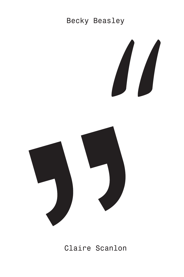## Becky Beasley





Claire Scanlon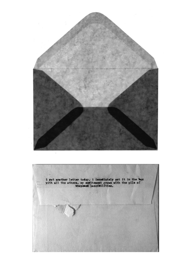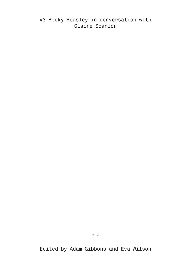#3 Becky Beasley in conversation with Claire Scanlon

 $\sqrt{6}$  33

Edited by Adam Gibbons and Eva Wilson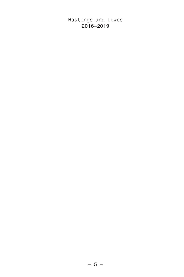Hastings and Lewes 2016-2019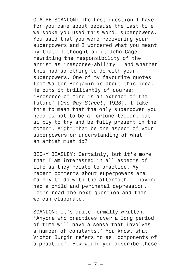CLAIRE SCANLON: The first question I have for you came about because the last time we spoke you used this word, superpowers. You said that you were recovering your superpowers and I wondered what you meant by that. I thought about John Cage rewriting the responsibility of the artist as 'response-ability', and whether this had something to do with your superpowers. One of my favourite quotes from Walter Benjamin is about this idea. He puts it brilliantly of course: 'Presence of mind is an extract of the future' [*One-Way Street*, 1928]. I take this to mean that the only superpower you need is not to be a fortune-teller, but simply to try and be fully present in the moment. Might that be one aspect of your superpowers or understanding of what an artist must do?

BECKY BEASLEY: Certainly, but it's more that I am interested in all aspects of life as they relate to practice. My recent comments about superpowers are mainly to do with the aftermath of having had a child and perinatal depression. Let's read the next question and then we can elaborate.

SCANLON: It's quite formally written. 'Anyone who practices over a long period of time will have a sense that involves a number of constants.' You know, what Victor Burgin refers to as 'components of a practice'. How would you describe these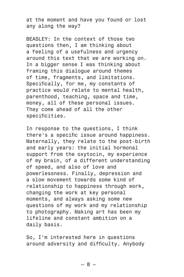at the moment and have you found or lost any along the way?

BEASLEY: In the context of those two questions then, I am thinking about a feeling of a usefulness and urgency around this text that we are working on. In a bigger sense I was thinking about framing this dialogue around themes of time, fragments, and limitations. Specifically, for me, my constants of practice would relate to mental health, parenthood, teaching, space and time, money, all of these personal issues. They come ahead of all the other specificities.

In response to the questions, I think there's a specific issue around happiness. Maternally, they relate to the post-birth and early years: the initial hormonal support from the oxytocin, my experience of my brain, of a different understanding of speed, and also of love and powerlessness. Finally, depression and a slow movement towards some kind of relationship to happiness through work, changing the work at key personal moments, and always asking some new questions of my work and my relationship to photography. Making art has been my lifeline and constant ambition on a daily basis.

So, I'm interested here in questions around adversity and difficulty. Anybody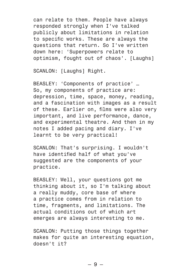can relate to them. People have always responded strongly when I've talked publicly about limitations in relation to specific works. These are always the questions that return. So I've written down here: 'Superpowers relate to optimism, fought out of chaos'. [Laughs]

SCANLON: [Laughs] Right.

BEASLEY: 'Components of practice' … So, my components of practice are: depression, time, space, money, reading, and a fascination with images as a result of these. Earlier on, films were also very important, and live performance, dance, and experimental theatre. And then in my notes I added pacing and diary. I've learnt to be very practical!

SCANLON: That's surprising. I wouldn't have identified half of what you've suggested are the components of your practice.

BEASLEY: Well, your questions got me thinking about it, so I'm talking about a really muddy, core base of where a practice comes from in relation to time, fragments, and limitations. The actual conditions out of which art emerges are always interesting to me.

SCANLON: Putting those things together makes for quite an interesting equation, doesn't it?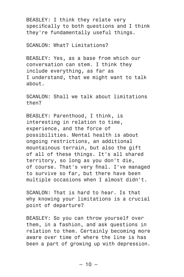BEASLEY: I think they relate very specifically to both questions and I think they're fundamentally useful things.

SCANLON: What? Limitations?

BEASLEY: Yes, as a base from which our conversation can stem. I think they include everything, as far as I understand, that we might want to talk about.

SCANLON: Shall we talk about limitations then?

BEASLEY: Parenthood, I think, is interesting in relation to time, experience, and the force of possibilities. Mental health is about ongoing restrictions, an additional mountainous terrain, but also the gift of all of these things. It's all shared territory, so long as you don't die, of course. That's very final. I've managed to survive so far, but there have been multiple occasions when I almost didn't.

SCANLON: That is hard to hear. Is that why knowing your limitations is a crucial point of departure?

BEASLEY: So you can throw yourself over them, in a fashion, and ask questions in relation to them. Certainly becoming more aware over time of where the line is has been a part of growing up with depression.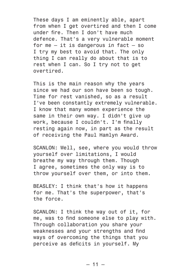These days I am eminently able, apart from when I get overtired and then I come under fire. Then I don't have much defence. That's a very vulnerable moment for  $me - it$  is dangerous in fact  $- so$ I try my best to avoid that. The only thing I can really do about that is to rest when I can. So I try not to get overtired.

This is the main reason why the years since we had our son have been so tough. Time for rest vanished, so as a result I've been constantly extremely vulnerable. I know that many women experience the same in their own way. I didn't give up work, because I couldn't. I'm finally resting again now, in part as the result of receiving the Paul Hamlyn Award.

SCANLON: Well, see, where you would throw yourself over limitations, I would breathe my way through them. Though I agree, sometimes the only way is to throw yourself over them, or into them.

BEASLEY: I think that's how it happens for me. That's the superpower, that's the force.

SCANLON: I think the way out of it, for me, was to find someone else to play with. Through collaboration you share your weaknesses and your strengths and find ways of overcoming the things that you perceive as deficits in yourself. My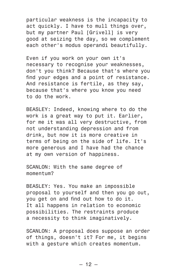particular weakness is the incapacity to act quickly. I have to mull things over, but my partner Paul [Grivell] is very good at seizing the day, so we complement each other's modus operandi beautifully.

Even if you work on your own it's necessary to recognise your weaknesses, don't you think? Because that's where you find your edges and a point of resistance. And resistance is fertile, as they say, because that's where you know you need to do the work.

BEASLEY: Indeed, knowing where to do the work is a great way to put it. Earlier, for me it was all very destructive, from not understanding depression and from drink, but now it is more creative in terms of being on the side of life. It's more generous and I have had the chance at my own version of happiness.

SCANLON: With the same degree of momentum?

BEASLEY: Yes. You make an impossible proposal to yourself and then you go out, you get on and find out how to do it. It all happens in relation to economic possibilities. The restraints produce a necessity to think imaginatively.

SCANLON: A proposal does suppose an order of things, doesn't it? For me, it begins with a gesture which creates momentum.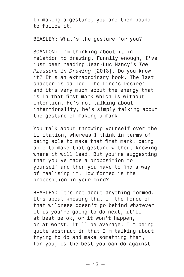In making a gesture, you are then bound to follow it.

BEASLEY: What's the gesture for you?

SCANLON: I'm thinking about it in relation to drawing. Funnily enough, I've just been reading Jean-Luc Nancy's *The Pleasure in Drawing* [2013]. Do you know it? It's an extraordinary book. The last chapter is called 'The Line's Desire' and it's very much about the energy that is in that first mark which is without intention. He's not talking about intentionality, he's simply talking about the gesture of making a mark.

You talk about throwing yourself over the limitation, whereas I think in terms of being able to make that first mark, being able to make that gesture without knowing where it will lead. But you're suggesting that you've made a proposition to yourself and then you have to find a way of realising it. How formed is the proposition in your mind?

BEASLEY: It's not about anything formed. It's about knowing that if the force of that wildness doesn't go behind whatever it is you're going to do next, it'll at best be ok, or it won't happen, or at worst, it'll be average. I'm being quite abstract in that I'm talking about trying to do and make something that, for you, is the best you can do against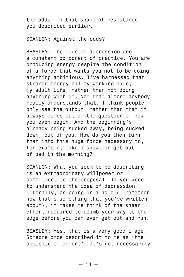the odds, in that space of resistance you described earlier.

SCANLON: Against the odds?

BEASLEY: The odds of depression are a constant component of practice. You are producing energy despite the condition of a force that wants you not to be doing anything ambitious. I've harnessed that strange energy all my working life, my adult life, rather than not doing anything with it. Not that almost anybody really understands that. I think people only see the output, rather than that it always comes out of the question of how you even begin. And the beginning's already being sucked away, being sucked down, out of you. How do you then turn that into this huge force necessary to, for example, make a show, or get out of bed in the morning?

SCANLON: What you seem to be describing is an extraordinary willpower or commitment to the proposal. If you were to understand the idea of depression literally, as being in a hole (I remember now that's something that you've written about), it makes me think of the sheer effort required to climb your way to the edge before you can even get out and run.

BEASLEY: Yes, that is a very good image. Someone once described it to me as 'the opposite of effort'. It's not necessarily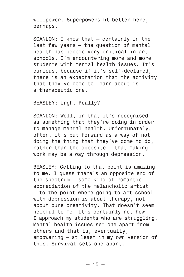willpower. Superpowers fit better here, perhaps.

SCANLON: I know that — certainly in the last few years — the question of mental health has become very critical in art schools. I'm encountering more and more students with mental health issues. It's curious, because if it's self-declared, there is an expectation that the activity that they've come to learn about is a therapeutic one.

BEASLEY: Urgh. Really?

SCANLON: Well, in that it's recognised as something that they're doing in order to manage mental health. Unfortunately, often, it's put forward as a way of not doing the thing that they've come to do, rather than the opposite — that making work may be a way through depression.

BEASLEY: Getting to that point is amazing to me. I guess there's an opposite end of the spectrum — some kind of romantic appreciation of the melancholic artist — to the point where going to art school with depression is about therapy, not about pure creativity. That doesn't seem helpful to me. It's certainly not how I approach my students who are struggling. Mental health issues set one apart from others and that is, eventually, empowering — at least in my own version of this. Survival sets one apart.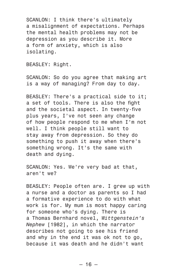SCANLON: I think there's ultimately a misalignment of expectations. Perhaps the mental health problems may not be depression as you describe it. More a form of anxiety, which is also isolating.

BEASLEY: Right.

SCANLON: So do you agree that making art is a way of managing? From day to day.

BEASLEY: There's a practical side to it; a set of tools. There is also the fight and the societal aspect. In twenty-five plus years, I've not seen any change of how people respond to me when I'm not well. I think people still want to stay away from depression. So they do something to push it away when there's something wrong. It's the same with death and dying.

SCANLON: Yes. We're very bad at that, aren't we?

BEASLEY: People often are. I grew up with a nurse and a doctor as parents so I had a formative experience to do with what work is for. My mum is most happy caring for someone who's dying. There is a Thomas Bernhard novel, *Wittgenstein's Nephew* [1982], in which the narrator describes not going to see his friend and why in the end it was ok not to go, because it was death and he didn't want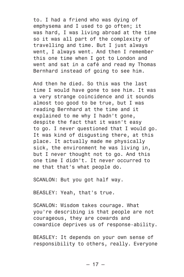to. I had a friend who was dying of emphysema and I used to go often; it was hard, I was living abroad at the time so it was all part of the complexity of travelling and time. But I just always went, I always went. And then I remember this one time when I got to London and went and sat in a café and read my Thomas Bernhard instead of going to see him.

And then he died. So this was the last time I would have gone to see him. It was a very strange coincidence and it sounds almost too good to be true, but I was reading Bernhard at the time and it explained to me why I hadn't gone, despite the fact that it wasn't easy to go. I never questioned that I would go. It was kind of disgusting there, at this place. It actually made me physically sick, the environment he was living in, but I never thought not to go. And this one time I didn't. It never occurred to me that that's what people do.

SCANLON: But you got half way.

BEASLEY: Yeah, that's true.

SCANLON: Wisdom takes courage. What you're describing is that people are not courageous, they are cowards and cowardice deprives us of response-ability.

BEASLEY: It depends on your own sense of responsibility to others, really. Everyone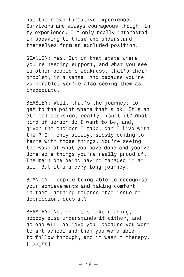has their own formative experience. Survivors are always courageous though, in my experience. I'm only really interested in speaking to those who understand themselves from an excluded position.

SCANLON: Yes. But in that state where you're needing support, and what you see is other people's weakness, that's their problem, in a sense. And because you're vulnerable, you're also seeing them as inadequate.

BEASLEY: Well, that's the journey: to get to the point where that's ok. It's an ethical decision, really, isn't it? What kind of person do I want to be, and, given the choices I make, can I live with them? I'm only slowly, slowly coming to terms with those things. You're seeing the wake of what you have done and you've done some things you're really proud of. The main one being having managed it at all. But it's a very long journey.

SCANLON: Despite being able to recognise your achievements and taking comfort in them, nothing touches that issue of depression, does it?

BEASLEY: No, no. It's like reading, nobody else understands it either, and no one will believe you, because you went to art school and then you were able to follow through, and it wasn't therapy. [Laughs]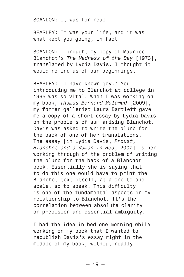SCANLON: It was for real.

BEASLEY: It was your life, and it was what kept you going, in fact.

SCANLON: I brought my copy of Maurice Blanchot's *The Madness of the Day* [1973], translated by Lydia Davis. I thought it would remind us of our beginnings.

BEASLEY: 'I have known joy.' You introducing me to Blanchot at college in 1995 was so vital. When I was working on my book, *Thomas Bernard Malamud* [2009], my former gallerist Laura Bartlett gave me a copy of a short essay by Lydia Davis on the problems of summarising Blanchot. Davis was asked to write the blurb for the back of one of her translations. The essay [in Lydia Davis, *Proust, Blanchot and a Woman in Red*, 2007] is her working through of the problem of writing the blurb for the back of a Blanchot book. Essentially she is saying that to do this one would have to print the Blanchot text itself, at a one to one scale, so to speak. This difficulty is one of the fundamental aspects in my relationship to Blanchot. It's the correlation between absolute clarity or precision and essential ambiguity.

I had the idea in bed one morning while working on my book that I wanted to republish Davis's essay right in the middle of my book, without really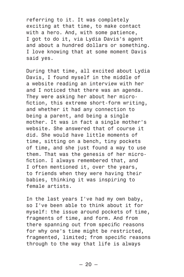referring to it. It was completely exciting at that time, to make contact with a hero. And, with some patience, I got to do it, via Lydia Davis's agent and about a hundred dollars or something. I love knowing that at some moment Davis said yes.

During that time, all excited about Lydia Davis, I found myself in the middle of a website reading an interview with her and I noticed that there was an agenda. They were asking her about her microfiction, this extreme short-form writing, and whether it had any connection to being a parent, and being a single mother. It was in fact a single mother's website. She answered that of course it did. She would have little moments of time, sitting on a bench, tiny pockets of time, and she just found a way to use them. That was the genesis of her microfiction. I always remembered that, and I often mentioned it, over the years, to friends when they were having their babies, thinking it was inspiring to female artists.

In the last years I've had my own baby, so I've been able to think about it for myself: the issue around pockets of time, fragments of time, and form. And from there spanning out from specific reasons for why one's time might be restricted, fragmented, limited; from specific reasons through to the way that life is always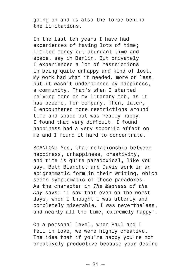going on and is also the force behind the limitations.

In the last ten years I have had experiences of having lots of time; limited money but abundant time and space, say in Berlin. But privately I experienced a lot of restrictions in being quite unhappy and kind of lost. My work had what it needed, more or less, but it wasn't underpinned by happiness, a community. That's when I started relying more on my literary mob, as it has become, for company. Then, later, I encountered more restrictions around time and space but was really happy. I found that very difficult. I found happiness had a very soporific effect on me and I found it hard to concentrate.

SCANLON: Yes, that relationship between happiness, unhappiness, creativity, and time is quite paradoxical, like you say. Both Blanchot and Davis work in an epigrammatic form in their writing, which seems symptomatic of those paradoxes. As the character in *The Madness of the Day* says: 'I saw that even on the worst days, when I thought I was utterly and completely miserable, I was nevertheless, and nearly all the time, extremely happy'.

On a personal level, when Paul and I fell in love, we were highly creative. The idea that if you're happy you're not creatively productive because your desire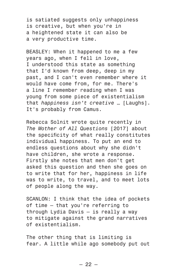is satiated suggests only unhappiness is creative, but when you're in a heightened state it can also be a very productive time.

BEASLEY: When it happened to me a few years ago, when I fell in love, I understood this state as something that I'd known from deep, deep in my past, and I can't even remember where it would have come from, for me. There's a line I remember reading when I was young from some piece of existentialism that *happiness isn't creative* … [Laughs]. It's probably from Camus.

Rebecca Solnit wrote quite recently in *The Mother of All Questions* [2017] about the specificity of what really constitutes individual happiness. To put an end to endless questions about why she didn't have children, she wrote a response. Firstly she notes that men don't get asked this question and then she goes on to write that for her, happiness in life was to write, to travel, and to meet lots of people along the way.

SCANLON: I think that the idea of pockets of time — that you're referring to through Lydia Davis — is really a way to mitigate against the grand narratives of existentialism.

The other thing that is limiting is fear. A little while ago somebody put out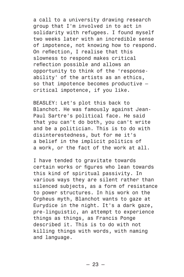a call to a university drawing research group that I'm involved in to act in solidarity with refugees. I found myself two weeks later with an incredible sense of impotence, not knowing how to respond. On reflection, I realise that this slowness to respond makes critical reflection possible and allows an opportunity to think of the 'responseability' of the artists as an ethics, so that impotence becomes productive critical impotence, if you like.

BEASLEY: Let's plot this back to Blanchot. He was famously against Jean-Paul Sartre's political face. He said that you can't do both, you can't write and be a politician. This is to do with disinterestedness, but for me it's a belief in the implicit politics of a work, or the fact of the work at all.

I have tended to gravitate towards certain works or figures who lean towards this kind of spiritual passivity. In various ways they are silent rather than silenced subjects, as a form of resistance to power structures. In his work on the Orpheus myth, Blanchot wants to gaze at Eurydice in the night. It's a dark gaze, pre-linguistic, an attempt to experience things as things, as Francis Ponge described it. This is to do with not killing things with words, with naming and language.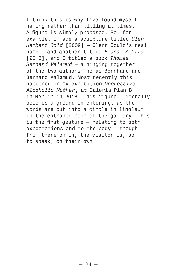I think this is why I've found myself naming rather than titling at times. A figure is simply proposed. So, for example, I made a sculpture titled *Glen Herbert Gold* [2009] — Glenn Gould's real name — and another titled *Flora, A Life* [2013], and I titled a book *Thomas Bernard Malamud* — a hinging together of the two authors Thomas Bernhard and Bernard Malamud. Most recently this happened in my exhibition *Depressive Alcoholic Mother*, at Galeria Plan B in Berlin in 2018. This 'figure' literally becomes a ground on entering, as the words are cut into a circle in linoleum in the entrance room of the gallery. This is the first gesture — relating to both expectations and to the body — though from there on in, the visitor is, so to speak, on their own.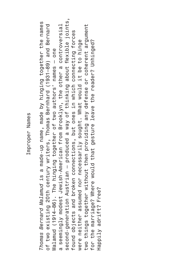## Improper Names Improper Names

second-generation Austrian — produced a way of thinking about flexible joints, second-generation Austrian — produced a way of thinking about flexible joints, *Thomas Bernard Malamud* is a made-up name, made by hinging together the names Thomas Bernard Malamud is a made-up name, made by hinging together the names of two existing 20th century writers, Thomas Bernhard (1931–89) and Bernard seemingly modest Jewish-American from Brooklyn, the other a controversial two things together without then providing any defense or coherent argument of two existing 20th century writers, Thomas Bernhard (1931–89) and Bernard a seemingly modest Jewish-American from Brooklyn, the other a controversial two things together without then providing any defense or coherent argument found objects and broken connections, but ones in which connecting forces found objects and broken connections, but ones in which connecting forces were neither assumed nor necessarily sought. What would it be to hinge for the marriage? Where would that gesture leave the reader? Unhinged? were neither assumed nor necessarily sought. What would it be to hinge for the marriage? Where would that gesture leave the reader? Unhinged? Malamud (1914–86). The hinging together of two authors' names — one Malamud (1914-86). The hinging together of two authors' names - one Happily adrift? Free? Happily adrift? Free?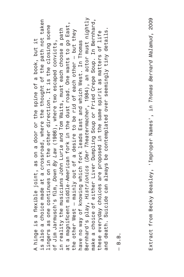Bernhard's play, *Histrionics* (*Der Theatermacher*, 1984), an actor must nightly make a choice of either Liver Dumpling Soup or Fried Crepe Soup. In Bernhard, is also a choice made at a crossroad, where the thought of the path not taken Bernhard's play, *Histrionics (Der Theatermacher*, 1984), an actor must nightly make a choice of either Liver Dumpling Soup or Fried Crepe Soup. In Bernhard, also a choice made at a crossroad, where the thought of the path not taken at a magnificent middle-American fork in the dust road. One wants to go East, lingers as one continues on in the other direction. It is the closing scene at a magnificent middle-American fork in the dust road. One wants to go East, lingers as one continues on in the other direction. It is the closing scene in reality the musicians John Lurie and Tom Waits, must each choose a path the other West — mainly out of a desire to be rid of each other — but they in reality the musicians John Lurie and Tom Waits, must each choose a path and death. Suicide can always be contemplated over seemingly tiny details. these everyday choices are proposed in the same spirit as matters of life and death. Suicide can always be contemplated over seemingly tiny details. the other West – mainly out of a desire to be rid of each other – but they these everyday choices are proposed in the same spirit as matters of life A hinge is a flexible joint, as on a door or the spine of a book, but it of Jim Jarmusch's film, *Down By Law* (1986), where two escaped convicts, have no way of knowing which fork leads East and which West. In Thomas A hinge is a flexible joint, as on a door or the spine of a book, but it of Jim Jarmusch's film, Down By Law (1986), where two escaped convicts, have no way of knowing which fork leads East and which West. In Thomas

— B.B.

Extract from Becky Beasley, 'Improper Names', in *Thomas Bernard Malamud*, 2009 Extract from Becky Beasley, 'Improper Names', in *Thomas Bernard Malamud*, 2009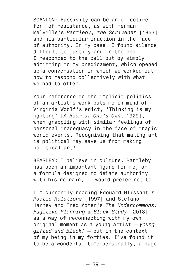SCANLON: Passivity can be an effective form of resistance, as with Herman Melville's *Bartleby, the Scrivener* [1853] and his particular inaction in the face of authority. In my case, I found silence difficult to justify and in the end I responded to the call out by simply admitting to my predicament, which opened up a conversation in which we worked out how to respond collectively with what we had to offer.

Your reference to the implicit politics of an artist's work puts me in mind of Virginia Woolf's edict, 'Thinking is my fighting' [*A Room of One's Own*, 1929], when grappling with similar feelings of personal inadequacy in the face of tragic world events. Recognising that making art is political may save us from making political art!

BEASLEY: I believe in culture. Bartleby has been an important figure for me, or a formula designed to deflate authority with his refrain, 'I would prefer not to.'

I'm currently reading Édouard Glissant's *Poetic Relations* [1997] and Stefano Harney and Fred Moten's *The Undercommons: Fugitive Planning & Black Study* [2013] as a way of reconnecting with my own original moment as a young artist — *young, gifted and black!* — but in the context of my being in my forties. I've found it to be a wonderful time personally, a huge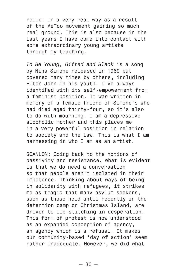relief in a very real way as a result of the MeToo movement gaining so much real ground. This is also because in the last years I have come into contact with some extraordinary young artists through my teaching.

*To Be Young, Gifted and Black* is a song by Nina Simone released in 1969 but covered many times by others, including Elton John in his youth. I've always identified with its self-empowerment from a feminist position. It was written in memory of a female friend of Simone's who had died aged thirty-four, so it's also to do with mourning. I am a depressive alcoholic mother and this places me in a very powerful position in relation to society and the law. This is what I am harnessing in who I am as an artist.

SCANLON: Going back to the notions of passivity and resistance, what is evident is that we do need a conversation so that people aren't isolated in their impotence. Thinking about ways of being in solidarity with refugees, it strikes me as tragic that many asylum seekers, such as those held until recently in the detention camp on Christmas Island, are driven to lip-stitching in desperation. This form of protest is now understood as an expanded conception of agency, an agency which is a refusal. It makes our community-based 'day of action' seem rather inadequate. However, we did what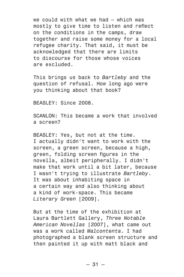we could with what we had — which was mostly to give time to listen and reflect on the conditions in the camps, draw together and raise some money for a local refugee charity. That said, it must be acknowledged that there are limits to discourse for those whose voices are excluded.

This brings us back to *Bartleby* and the question of refusal. How long ago were you thinking about that book?

BEASLEY: Since 2008.

SCANLON: This became a work that involved a screen?

BEASLEY: Yes, but not at the time. I actually didn't want to work with the screen, a green screen, because a high, green, folding screen figures in the novella, albeit peripherally. I didn't make that work until a bit later, because I wasn't trying to illustrate *Bartleby*. It was about inhabiting space in a certain way and also thinking about a kind of work-space. This became *Literary Green* [2009].

But at the time of the exhibition at Laura Bartlett Gallery, *Three Notable American Novellas* [2007], what came out was a work called *Malcontenta*. I had photographed a blank screen structure and then painted it up with matt black and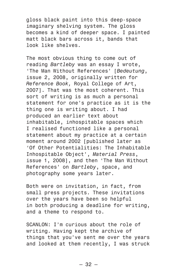gloss black paint into this deep-space imaginary shelving system. The gloss becomes a kind of deeper space. I painted matt black bars across it, bands that look like shelves.

The most obvious thing to come out of reading *Bartleby* was an essay I wrote, 'The Man Without References' [*Bedeutung*, issue 2, 2008, originally written for *Reference Book,* Royal College of Art, 2007]. That was the most coherent. This sort of writing is as much a personal statement for one's practice as it is the thing one is writing about. I had produced an earlier text about inhabitable, inhospitable spaces which I realised functioned like a personal statement about my practice at a certain moment around 2002 [published later as 'Of Other Potentialities: The Inhabitable Inhospitable Object', *Material Press*, issue 1, 2008], and then 'The Man Without References' on *Bartleby*, space, and photography some years later.

Both were on invitation, in fact, from small press projects. These invitations over the years have been so helpful in both producing a deadline for writing, and a theme to respond to.

SCANLON: I'm curious about the role of writing. Having kept the archive of things that you've sent me over the years and looked at them recently, I was struck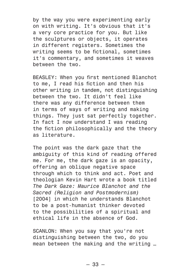by the way you were experimenting early on with writing. It's obvious that it's a very core practice for you. But like the sculptures or objects, it operates in different registers. Sometimes the writing seems to be fictional, sometimes it's commentary, and sometimes it weaves between the two.

BEASLEY: When you first mentioned Blanchot to me, I read his fiction and then his other writing in tandem, not distinguishing between the two. It didn't feel like there was any difference between them in terms of ways of writing and making things. They just sat perfectly together. In fact I now understand I was reading the fiction philosophically and the theory as literature.

The point was the dark gaze that the ambiguity of this kind of reading offered me. For me, the dark gaze is an opacity, offering an oblique negative space through which to think and act. Poet and theologian Kevin Hart wrote a book titled *The Dark Gaze: Maurice Blanchot and the Sacred (Religion and Postmodernism)* [2004] in which he understands Blanchot to be a post-humanist thinker devoted to the possibilities of a spiritual and ethical life in the absence of God.

SCANLON: When you say that you're not distinguishing between the two, do you mean between the making and the writing …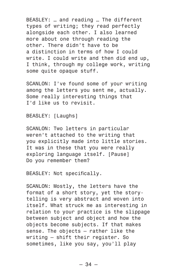BEASLEY: … and reading … The different types of writing; they read perfectly alongside each other. I also learned more about one through reading the other. There didn't have to be a distinction in terms of how I could write. I could write and then did end up, I think, through my college work, writing some quite opaque stuff.

SCANLON: I've found some of your writing among the letters you sent me, actually. Some really interesting things that I'd like us to revisit.

## BEASLEY: [Laughs]

SCANLON: Two letters in particular weren't attached to the writing that you explicitly made into little stories. It was in these that you were really exploring language itself. [Pause] Do you remember them?

BEASLEY: Not specifically.

SCANLON: Mostly, the letters have the format of a short story, yet the storytelling is very abstract and woven into itself. What struck me as interesting in relation to your practice is the slippage between subject and object and how the objects become subjects. If that makes sense. The objects — rather like the writing — shift their register. So sometimes, like you say, you'll play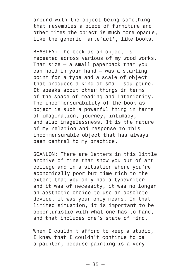around with the object being something that resembles a piece of furniture and other times the object is much more opaque, like the generic 'artefact', like books.

BEASLEY: The book as an object is repeated across various of my wood works. That size — a small paperback that you can hold in your hand — was a starting point for a type and a scale of object that produces a kind of small sculpture. It speaks about other things in terms of the space of reading and interiority. The incommensurability of the book as object is such a powerful thing in terms of imagination, journey, intimacy, and also imagelessness. It is the nature of my relation and response to this incommensurable object that has always been central to my practice.

SCANLON: There are letters in this little archive of mine that show you out of art college and in a situation where you're economically poor but time rich to the extent that you only had a typewriter and it was of necessity, it was no longer an aesthetic choice to use an obsolete device, it was your only means. In that limited situation, it is important to be opportunistic with what one has to hand, and that includes one's state of mind.

When I couldn't afford to keep a studio. I knew that I couldn't continue to be a painter, because painting is a very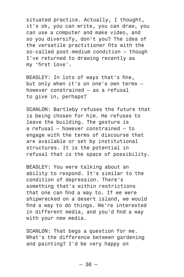situated practice. Actually, I thought, it's ok, you can write, you can draw, you can use a computer and make video, and so you diversify, don't you? The idea of the versatile practitioner fits with the so-called post-medium condition — though I've returned to drawing recently as my 'first love'.

BEASLEY: In lots of ways that's fine, but only when it's on one's own terms however constrained — as a refusal to give in, perhaps?

SCANLON: Bartleby refuses the future that is being chosen for him. He refuses to leave the building. The gesture is a refusal — however constrained — to engage with the terms of discourse that are available or set by institutional structures. It is the potential in refusal that *is* the space of possibility.

BEASLEY: You were talking about an ability to respond. It's similar to the condition of depression. There's something that's within restrictions that one can find a way to. If we were shipwrecked on a desert island, we would find a way to do things. We're interested in different media, and you'd find a way with your new media.

SCANLON: That begs a question for me. What's the difference between gardening and painting? I'd be very happy on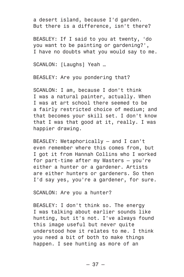a desert island, because I'd garden. But there is a difference, isn't there?

BEASLEY: If I said to you at twenty, 'do you want to be painting or gardening?', I have no doubts what you would say to me.

SCANLON: [Laughs] Yeah ...

BEASLEY: Are you pondering that?

SCANLON: I am, because I don't think I was a natural painter, actually. When I was at art school there seemed to be a fairly restricted choice of medium; and that becomes your skill set. I don't know that I was that good at it, really. I was happier drawing.

BEASLEY: Metaphorically — and I can't even remember where this comes from, but I got it from Hannah Collins who I worked for part-time after my Masters — you're either a hunter or a gardener. Artists are either hunters or gardeners. So then I'd say yes, you're a gardener, for sure.

SCANLON: Are you a hunter?

BEASLEY: I don't think so. The energy I was talking about earlier sounds like hunting, but it's not. I've always found this image useful but never quite understood how it relates to me. I think you need a bit of both to make things happen. I see hunting as more of an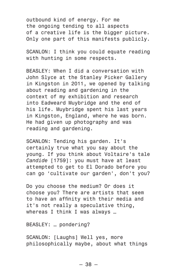outbound kind of energy. For me the ongoing tending to all aspects of a creative life is the bigger picture. Only one part of this manifests publicly.

SCANLON: I think you could equate reading with hunting in some respects.

BEASLEY: When I did a conversation with John Slyce at the Stanley Picker Gallery in Kingston in 2011, we opened by talking about reading and gardening in the context of my exhibition and research into Eadweard Muybridge and the end of his life. Muybridge spent his last years in Kingston, England, where he was born. He had given up photography and was reading and gardening.

SCANLON: Tending his garden. It's certainly true what you say about the young. If you think about Voltaire's tale *Candide* [1759]: you must have at least attempted to get to El Dorado before you can go 'cultivate our garden', don't you?

Do you choose the medium? Or does it choose you? There are artists that seem to have an affinity with their media and it's not really a speculative thing, whereas I think I was always ...

BEASLEY: … pondering?

SCANLON: [Laughs] Well yes, more philosophically maybe, about what things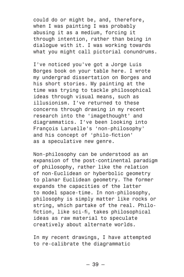could do or might be, and, therefore, when I was painting I was probably abusing it as a medium, forcing it through intention, rather than being in dialogue with it. I was working towards what you might call pictorial conundrums.

I've noticed you've got a Jorge Luis Borges book on your table here. I wrote my undergrad dissertation on Borges and his short stories. My painting at the time was trying to tackle philosophical ideas through visual means, such as illusionism. I've returned to these concerns through drawing in my recent research into the 'imagethought' and diagrammatics. I've been looking into François Laruelle's 'non-philosophy' and his concept of 'philo-fiction' as a speculative new genre.

Non-philosophy can be understood as an expansion of the post-continental paradigm of philosophy, rather like the relation of non-Euclidean or hyberbolic geometry to planar Euclidean geometry. The former expands the capacities of the latter to model space-time. In non-philosophy, philosophy is simply matter like rocks or string, which partake of the real. Philofiction, like sci-fi, takes philosophical ideas as raw material to speculate creatively about alternate worlds.

In my recent drawings, I have attempted to re-calibrate the diagrammatic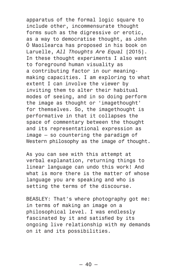apparatus of the formal logic square to include other, incommensurate thought forms such as the digressive or erotic, as a way to democratise thought, as John Ó Maoilearca has proposed in his book on Laruelle, *All Thoughts Are Equal* [2015]. In these thought experiments I also want to foreground human visuality as a contributing factor in our meaningmaking capacities. I am exploring to what extent I can involve the viewer by inviting them to alter their habitual modes of seeing, and in so doing perform the image as thought or 'imagethought' for themselves. So, the imagethought is performative in that it collapses the space of commentary between the thought and its representational expression as image — so countering the paradigm of Western philosophy as the image *of* thought.

As you can see with this attempt at verbal explanation, returning things to linear language can undo this work! And what is more there is the matter of whose language you are speaking and who is setting the terms of the discourse.

BEASLEY: That's where photography got me: in terms of making an image on a philosophical level. I was endlessly fascinated by it and satisfied by its ongoing live relationship with my demands on it and its possibilities.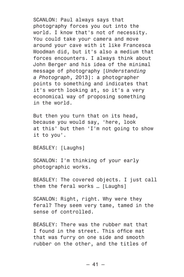SCANLON: Paul always says that photography forces you out into the world. I know that's not of necessity. You could take your camera and move around your cave with it like Francesca Woodman did, but it's also a medium that forces encounters. I always think about John Berger and his idea of the minimal message of photography [*Understanding a Photograph*, 2013]: a photographer points to something and indicates that it's worth looking at, so it's a very economical way of proposing something in the world.

But then you turn that on its head, because you would say, 'here, look at this' but then 'I'm not going to show it to you'.

BEASLEY: [Laughs]

SCANLON: I'm thinking of your early photographic works.

BEASLEY: The covered objects. I just call them the feral works ... [Laughs]

SCANLON: Right, right. Why were they feral? They seem very tame, tamed in the sense of controlled.

BEASLEY: There was the rubber mat that I found in the street. This office mat that was furry on one side and smooth rubber on the other, and the titles of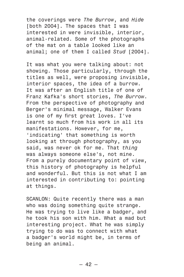the coverings were *The Burrow*, and *Hide* [both 2004]. The spaces that I was interested in were invisible, interior, animal-related. Some of the photographs of the mat on a table looked like an animal; one of them I called *Stud* [2004].

It was what you were talking about: not showing. Those particularly, through the titles as well, were proposing invisible, interior spaces, the idea of a burrow. It was after an English title of one of Franz Kafka's short stories, *The Burrow*. From the perspective of photography and Berger's minimal message, Walker Evans is one of my first great loves. I've learnt so much from his work in all its manifestations. However, for me, 'indicating' that something is worth looking at through photography, as you said, was never ok for me. That *thing* was always someone else's, not mine. From a purely documentary point of view, this history of photography is helpful and wonderful. But this is not what I am interested in contributing to: pointing at things.

SCANLON: Quite recently there was a man who was doing something quite strange. He was trying to live like a badger, and he took his son with him. What a mad but interesting project. What he was simply trying to do was to connect with what a badger's world might be, in terms of being an animal.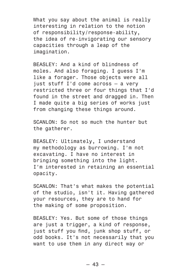What you say about the animal is really interesting in relation to the notion of responsibility/response-ability, the idea of re-invigorating our sensory capacities through a leap of the imagination.

BEASLEY: And a kind of blindness of moles. And also foraging. I guess I'm like a forager. Those objects were all just stuff I'd come across — a very restricted three or four things that I'd found in the street and dragged in. Then I made quite a big series of works just from changing these things around.

SCANLON: So not so much the hunter but the gatherer.

BEASLEY: Ultimately, I understand my methodology as burrowing. I'm not excavating. I have no interest in bringing something into the light. I'm interested in retaining an essential opacity.

SCANLON: That's what makes the potential of the studio, isn't it. Having gathered your resources, they are to hand for the making of some proposition.

BEASLEY: Yes. But some of those things are just a trigger, a kind of response, just stuff you find, junk shop stuff, or odd books. It's not necessarily that you want to use them in any direct way or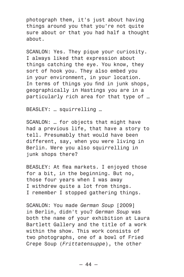photograph them, it's just about having things around you that you're not quite sure about or that you had half a thought about.

SCANLON: Yes. They pique your curiosity. I always liked that expression about things catching the eye. You know, they sort of hook you. They also embed you in your environment, in your location. In terms of things you find in junk shops. geographically in Hastings you are in a particularly rich area for that type of …

BEASLEY: … squirrelling …

SCANLON: … for objects that might have had a previous life, that have a story to tell. Presumably that would have been different, say, when you were living in Berlin. Were you also squirrelling in junk shops there?

BEASLEY: At flea markets. I enjoyed those for a bit, in the beginning. But no, those four years when I was away I withdrew quite a lot from things. I remember I stopped gathering things.

SCANLON: You made *German Soup* [2009] in Berlin, didn't you? *German Soup* was both the name of your exhibition at Laura Bartlett Gallery and the title of a work within the show. This work consists of two photographs, one of a bowl of Fried Crepe Soup (*Frittatensuppe*), the other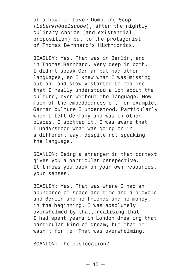of a bowl of Liver Dumpling Soup (*Leberknödelsuppe*), after the nightly culinary choice (and existential proposition) put to the protagonist of Thomas Bernhard's Histrionics.

BEASLEY: Yes. That was in Berlin, and in Thomas Bernhard. Very deep in both. I didn't speak German but had other languages, so I knew what I was missing out on, and slowly started to realise that I really understood a lot about the culture, even without the language. How much of the embeddedness of, for example, German culture I understood. Particularly when I left Germany and was in other places, I spotted it. I was aware that I understood what was going on in a different way, despite not speaking the language.

SCANLON: Being a stranger in that context gives you a particular perspective. It throws you back on your own resources, your senses.

BEASLEY: Yes. That was where I had an abundance of space and time and a bicycle and Berlin and no friends and no money, in the beginning. I was absolutely overwhelmed by that, realising that I had spent years in London dreaming that particular kind of dream, but that it wasn't for me. That was overwhelming.

SCANLON: The dislocation?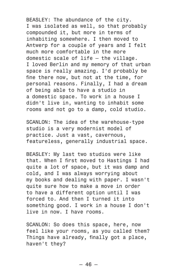BEASLEY: The abundance of the city. I was isolated as well, so that probably compounded it, but more in terms of inhabiting somewhere. I then moved to Antwerp for a couple of years and I felt much more comfortable in the more domestic scale of life — the village. I loved Berlin and my memory of that urban space is really amazing. I'd probably be fine there now, but not at the time, for personal reasons. Finally, I had a dream of being able to have a studio in a domestic space. To work in a house I didn't live in, wanting to inhabit some rooms and not go to a damp, cold studio.

SCANLON: The idea of the warehouse-type studio is a very modernist model of practice. Just a vast, cavernous, featureless, generally industrial space.

BEASLEY: My last two studios were like that. When I first moved to Hastings I had quite a lot of space, but it was damp and cold, and I was always worrying about my books and dealing with paper. I wasn't quite sure how to make a move in order to have a different option until I was forced to. And then I turned it into something good. I work in a house I don't live in now. I have rooms.

SCANLON: So does this space, here, now feel like your rooms, as you called them? Things have already, finally got a place, haven't they?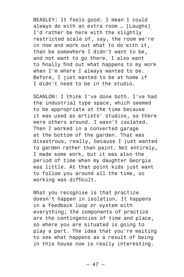BEASLEY: It feels good. I mean I could always do with an extra room ... [Laughs] I'd rather be here with the slightly restricted scale of, say, the room we're in now and work out what to do with it, than be somewhere I didn't want to be, and not want to go there. I also want to finally find out what happens to my work when I'm where I always wanted to be. Before, I just wanted to be at home if I didn't need to be in the studio.

SCANLON: I think I've done both. I've had the industrial type space, which seemed to be appropriate at the time because it was used as artists' studios, so there were others around. I wasn't isolated. Then I worked in a converted garage at the bottom of the garden. That was disastrous, really, because I just wanted to garden rather than paint. Not entirely, I made some work, but it was also the period of time when my daughter Georgia was little. At that point kids just want to follow you around all the time, so working was difficult.

What you recognise is that practice doesn't happen in isolation. It happens in a feedback loop or system with everything; the components of practice are the contingencies of time and place, so where you are situated is going to play a part. The idea that you're waiting to see what happens as a result of being in this house now is really interesting.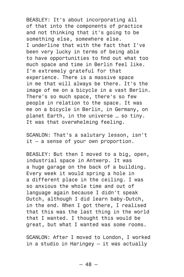BEASLEY: It's about incorporating all of that into the components of practice and not thinking that it's going to be something else, somewhere else. I underline that with the fact that I've been very lucky in terms of being able to have opportunities to find out what too much space and time in Berlin feel like. I'm extremely grateful for that experience. There is a massive space in me that will always be there. It's the image of me on a bicycle in a vast Berlin. There's so much space, there's so few people in relation to the space. It was me on a bicycle in Berlin, in Germany, on planet Earth, in the universe … so tiny. It was that overwhelming feeling.

SCANLON: That's a salutary lesson, isn't it — a sense of your own proportion.

BEASLEY: But then I moved to a big, open, industrial space in Antwerp. It was a huge garage on the back of a building. Every week it would spring a hole in a different place in the ceiling. I was so anxious the whole time and out of language again because I didn't speak Dutch, although I did learn baby-Dutch, in the end. When I got there, I realised that this was the last thing in the world that I wanted. I thought this would be great, but what I wanted was some rooms.

SCANLON: After I moved to London, I worked in a studio in Haringey — it was actually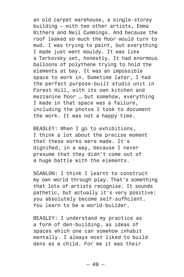an old carpet warehouse, a single-storey building — with two other artists, Emma Withers and Neil Cummings. And because the roof leaked so much the floor would turn to mud. I was trying to paint, but everything I made just went mouldy. It was like a Tarkovsky set, honestly. It had enormous balloons of polythene trying to hold the elements at bay. It was an impossible space to work in. Sometime later, I had the perfect purpose-built studio unit in Forest Hill, with its own kitchen and mezzanine floor … but somehow, everything I made in that space was a failure, including the photos I took to document the work. It was not a happy time.

BEASLEY: When I go to exhibitions, I think a lot about the precise moment that these works were made. It's dignified, in a way, because I never presume that they didn't come out of a huge battle with the elements.

SCANLON: I think I learnt to construct my own world through play. That's something that lots of artists recognise. It sounds pathetic, but actually it's very positive: you absolutely become self-sufficient. You learn to be a world-builder.

BEASLEY: I understand my practice as a form of den-building, as ideas of spaces which one can somehow inhabit mentally. I always most liked to build dens as a child. For me it was their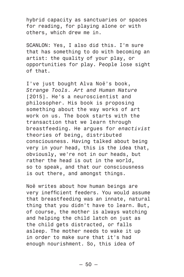hybrid capacity as sanctuaries or spaces for reading, for playing alone or with others, which drew me in.

SCANLON: Yes, I also did this. I'm sure that has something to do with becoming an artist: the quality of your play, or opportunities for play. People lose sight of that.

I've just bought Alva Noë's book, *Strange Tools. Art and Human Nature* [2015]. He's a neuroscientist and philosopher. His book is proposing something about the way works of art work on us. The book starts with the transaction that we learn through breastfeeding. He argues for *enactivist* theories of being, distributed consciousness. Having talked about being very in your head, this is the idea that, obviously, we're not in our heads, but rather the head is out in the world, so to speak, and that our consciousness is out there, and amongst things.

Noë writes about how human beings are very inefficient feeders. You would assume that breastfeeding was an innate, natural thing that you didn't have to learn. But, of course, the mother is always watching and helping the child latch on just as the child gets distracted, or falls asleep. The mother needs to wake it up in order to make sure that it's had enough nourishment. So, this idea of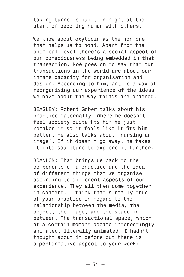taking turns is built in right at the start of becoming human with others.

We know about oxytocin as the hormone that helps us to bond. Apart from the chemical level there's a social aspect of our consciousness being embedded in that transaction. Noë goes on to say that our transactions in the world are about our innate capacity for organisation and design. According to him, art is a way of reorganising our experience of the ideas we have about the way things are ordered.

BEASLEY: Robert Gober talks about his practice maternally. Where he doesn't feel society quite fits him he just remakes it so it feels like it fits him better. He also talks about 'nursing an image'. If it doesn't go away, he takes it into sculpture to explore it further.

SCANLON: That brings us back to the components of a practice and the idea of different things that we organise according to different aspects of our experience. They all then come together in concert. I think that's really true of your practice in regard to the relationship between the media, the object, the image, and the space in between. The transactional space, which at a certain moment became interestingly animated, literally animated. I hadn't thought about it before but there is a performative aspect to your work: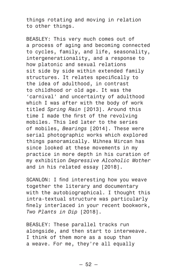things rotating and moving in relation to other things.

BEASLEY: This very much comes out of a process of aging and becoming connected to cycles, family, and life, seasonality, intergenerationality, and a response to how platonic and sexual relations sit side by side within extended family structures. It relates specifically to the idea of adulthood, in contrast to childhood or old age. It was the 'carnival' and uncertainty of adulthood which I was after with the body of work titled *Spring Rain* [2013]. Around this time I made the first of the revolving mobiles. This led later to the series of mobiles, *Bearings* [2014]. These were serial photographic works which explored things panoramically. Mihnea Mircan has since looked at these movements in my practice in more depth in his curation of my exhibition *Depressive Alcoholic Mother* and in his related essay [2018].

SCANLON: I find interesting how you weave together the literary and documentary with the autobiographical. I thought this intra-textual structure was particularly finely interlaced in your recent bookwork, *Two Plants in Dip* [2018].

BEASLEY: These parallel tracks run alongside, and then start to interweave. I think of them more as a soup than a weave. For me, they're all equally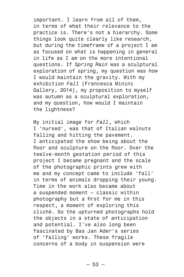important. I learn from all of them, in terms of what their relevance to the practice is. There's not a hierarchy. Some things look quite clearly like research, but during the timeframe of a project I am as focused on what is happening in general in life as I am on the more intentional questions. If *Spring Rain* was a sculptural exploration of spring, my question was how I would maintain the gravity. With my exhibition *Fall* [Francesca Minini Gallery, 2014], my proposition to myself was autumn as a sculptural exploration, and my question, how would I maintain the lightness?

My initial image for *Fall*, which I 'nursed', was that of Italian walnuts falling and hitting the pavement. I anticipated the show being about the floor and sculpture on the floor. Over the twelve-month gestation period of this project I became pregnant and the scale of the photographic prints grew with me and my concept came to include 'fall' in terms of animals dropping their young. Time in the work also became about a suspended moment — classic within photography but a first for me in this respect, a moment of exploring this cliché. So the upturned photographs hold the objects in a state of anticipation and potential. I've also long been fascinated by Bas Jan Ader's series of 'falling' works. These fragile concerns of a body in suspension were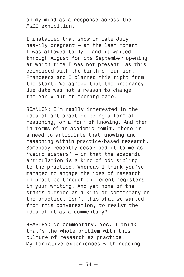on my mind as a response across the *Fall* exhibition.

I installed that show in late July, heavily pregnant — at the last moment I was allowed to fly — and it waited through August for its September opening at which time I was not present, as this coincided with the birth of our son. Francesca and I planned this right from the start. We agreed that the pregnancy due date was not a reason to change the early autumn opening date.

SCANLON: I'm really interested in the idea of art practice being a form of reasoning, or a form of knowing. And then, in terms of an academic remit, there is a need to articulate that knowing and reasoning within practice-based research. Somebody recently described it to me as 'weird sisters' — in that the academic articulation is a kind of odd sibling to the practice. Whereas I think you've managed to engage the idea of research in practice through different registers in your writing. And yet none of them stands outside as a kind of commentary on the practice. Isn't this what we wanted from this conversation, to resist the idea of it as a commentary?

BEASLEY: No commentary. Yes. I think that's the whole problem with this culture of research as practice. My formative experiences with reading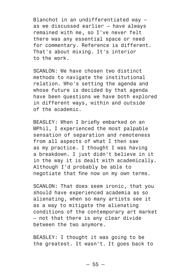Blanchot in an undifferentiated way as we discussed earlier — have always remained with me, so I've never felt there was any essential space or need for commentary. Reference is different. That's about mixing. It's interior to the work.

SCANLON: We have chosen two distinct methods to navigate the institutional relation. Who's setting the agenda and whose future is decided by that agenda have been questions we have both explored in different ways, within and outside of the academic.

BEASLEY: When I briefly embarked on an MPhil, I experienced the most palpable sensation of separation and remoteness from all aspects of what I then saw as my practice. I thought I was having a breakdown. I just didn't believe in it in the way it is dealt with academically. Although I'd probably be able to negotiate that fine now on my own terms.

SCANLON: That does seem ironic, that you should have experienced academia as so alienating, when so many artists see it as a way to mitigate the alienating conditions of the contemporary art market — not that there is any clear divide between the two anymore.

BEASLEY: I thought it was going to be the greatest. It wasn't. It goes back to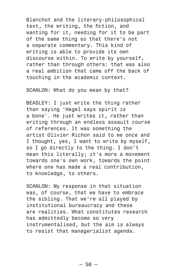Blanchot and the literary-philosophical text, the writing, the fiction, and wanting for it, needing for it to be part of the same thing so that there's not a separate commentary. This kind of writing is able to provide its own discourse within. To write by yourself, rather than through others: that was also a real ambition that came off the back of touching in the academic context.

SCANLON: What do you mean by that?

BEASLEY: I just write the thing rather than saying 'Hegel says spirit is a bone'. He just writes it, rather than writing through an endless assault course of references. It was something the artist Olivier Richon said to me once and I thought, yes, I want to write by myself, so I go directly to the thing. I don't mean this literally; it's more a movement towards one's own work, towards the point where one has made a real contribution, to knowledge, to others.

SCANLON: My response in that situation was, of course, that we have to embrace the sibling. That we're all played by institutional bureaucracy and these are realities. What constitutes research has admittedly become so very instrumentalised, but the aim is always to resist that managerialist agenda.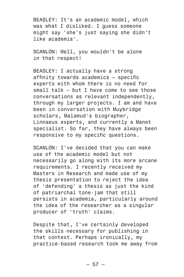BEASLEY: It's an academic model, which was what I disliked. I guess someone might say 'she's just saying she didn't like academia'.

SCANLON: Well, you wouldn't be alone in that respect!

BEASLEY: I actually have a strong affinity towards academics — specific experts with whom there is no need for small talk — but I have come to see those conversations as relevant independently, through my larger projects. I am and have been in conversation with Muybridge scholars, Malamud's biographer, Linnaeus experts, and currently a Manet specialist. So far, they have always been responsive to my specific questions.

SCANLON: I've decided that you can make use of the academic model but not necessarily go along with its more arcane requirements. I recently received my Masters in Research and made use of my thesis presentation to reject the idea of 'defending' a thesis as just the kind of patriarchal tone-jam that still persists in academia, particularly around the idea of the researcher as a singular producer of 'truth' claims.

Despite that, I've certainly developed the skills necessary for publishing in that context. Perhaps ironically, my practice-based research took me away from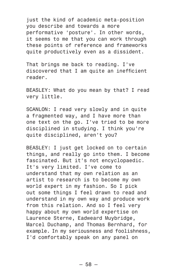just the kind of academic meta-position you describe and towards a more performative 'posture'. In other words, it seems to me that you can work through these points of reference and frameworks quite productively even as a dissident.

That brings me back to reading. I've discovered that I am quite an inefficient reader.

BEASLEY: What do you mean by that? I read very little.

SCANLON: I read very slowly and in quite a fragmented way, and I have more than one text on the go. I've tried to be more disciplined in studying. I think you're quite disciplined, aren't you?

BEASLEY: I just get locked on to certain things, and really go into them. I become fascinated. But it's not encyclopaedic. It's very limited. I've come to understand that my own relation as an artist to research is to become my own world expert in my fashion. So I pick out some things I feel drawn to read and understand in my own way and produce work from this relation. And so I feel very happy about my own world expertise on Laurence Sterne, Eadweard Muybridge, Marcel Duchamp, and Thomas Bernhard, for example. In my seriousness and foolishness, I'd comfortably speak on any panel on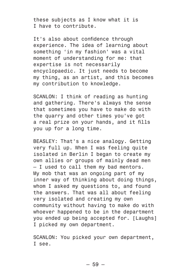these subjects as I know what it is I have to contribute.

It's also about confidence through experience. The idea of learning about something 'in my fashion' was a vital moment of understanding for me: that expertise is not necessarily encyclopaedic. It just needs to become my thing, as an artist, and this becomes my contribution to knowledge.

SCANLON: I think of reading as hunting and gathering. There's always the sense that sometimes you have to make do with the quarry and other times you've got a real prize on your hands, and it fills you up for a long time.

BEASLEY: That's a nice analogy. Getting very full up. When I was feeling quite isolated in Berlin I began to create my own allies or groups of mainly dead men — I used to call them my bad mentors. My mob that was an ongoing part of my inner way of thinking about doing things, whom I asked my questions to, and found the answers. That was all about feeling very isolated and creating my own community without having to make do with whoever happened to be in the department you ended up being accepted for. [Laughs] I picked my own department.

SCANLON: You picked your own department, I see.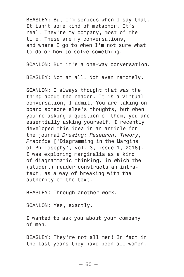BEASLEY: But I'm serious when I say that. It isn't some kind of metaphor. It's real. They're my company, most of the time. These are my conversations, and where I go to when I'm not sure what to do or how to solve something.

SCANLON: But it's a one-way conversation.

BEASLEY: Not at all. Not even remotely.

SCANLON: I always thought that was the thing about the reader. It is a virtual conversation, I admit. You are taking on board someone else's thoughts, but when you're asking a question of them, you are essentially asking yourself. I recently developed this idea in an article for the journal *Drawing: Research, Theory, Practice* ['Diagramming in the Margins of Philosophy', vol. 3, issue 1, 2018]. I was exploring marginalia as a kind of diagrammatic thinking, in which the (student) reader constructs an intratext, as a way of breaking with the authority of the text.

BEASLEY: Through another work.

SCANLON: Yes, exactly.

I wanted to ask you about your company of men.

BEASLEY: They're not all men! In fact in the last years they have been all women.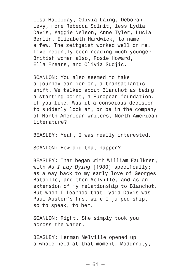Lisa Halliday, Olivia Laing, Deborah Levy, more Rebecca Solnit, less Lydia Davis, Maggie Nelson, Anne Tyler, Lucia Berlin, Elizabeth Hardwick, to name a few. The zeitgeist worked well on me. I've recently been reading much younger British women also, Rosie Howard, Ella Frears, and Olivia Sudjic.

SCANLON: You also seemed to take a journey earlier on, a transatlantic shift. We talked about Blanchot as being a starting point, a European foundation, if you like. Was it a conscious decision to suddenly look at, or be in the company of North American writers, North American literature?

BEASLEY: Yeah, I was really interested.

SCANLON: How did that happen?

BEASLEY: That began with William Faulkner, with *As I Lay Dying* [1930] specifically; as a way back to my early love of Georges Bataille, and then Melville, and as an extension of my relationship to Blanchot. But when I learned that Lydia Davis was Paul Auster's first wife I jumped ship, so to speak, to her.

SCANLON: Right. She simply took you across the water.

BEASLEY: Herman Melville opened up a whole field at that moment. Modernity,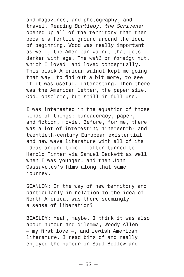and magazines, and photography, and travel. Reading *Bartleby, the Scrivener* opened up all of the territory that then became a fertile ground around the idea of beginning. Wood was really important as well, the American walnut that gets darker with age. The *wahl* or *foreign* nut, which I loved, and loved conceptually. This black American walnut kept me going that way, to find out a bit more, to see if it was useful, interesting. Then there was the American letter, the paper size. Odd, obsolete, but still in full use.

I was interested in the equation of those kinds of things: bureaucracy, paper, and fiction, movie. Before, for me, there was a lot of interesting nineteenth- and twentieth-century European existential and new wave literature with all of its ideas around time. I often turned to Harold Pinter via Samuel Beckett as well when I was younger, and then John Cassavetes's films along that same journey.

SCANLON: In the way of new territory and particularly in relation to the idea of North America, was there seemingly a sense of liberation?

BEASLEY: Yeah, maybe. I think it was also about humour and dilemma, Woody Allen — my first love —, and Jewish American literature. I read bits of and really enjoyed the humour in Saul Bellow and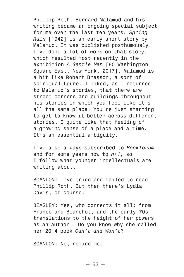Phillip Roth. Bernard Malamud and his writing became an ongoing special subject for me over the last ten years. *Spring Rain* [1942] is an early short story by Malamud. It was published posthumously. I've done a lot of work on that story, which resulted most recently in the exhibition *A Gentle Man* [80 Washington Square East, New York, 2017]. Malamud is a bit like Robert Bresson, a sort of spiritual figure. I liked, as I returned to Malamud's stories, that there are street corners and buildings throughout his stories in which you feel like it's all the same place. You're just starting to get to know it better across different stories. I quite like that feeling of a growing sense of a place and a time. It's an essential ambiguity.

I've also always subscribed to *Bookforum* and for some years now to *n+1,* so I follow what younger intellectuals are writing about.

SCANLON: I've tried and failed to read Phillip Roth. But then there's Lydia Davis, of course.

BEASLEY: Yes, who connects it all: from France and Blanchot, and the early-70s translations to the height of her powers as an author … Do you know why she called her 2014 book *Can't and Won't*?

SCANLON: No, remind me.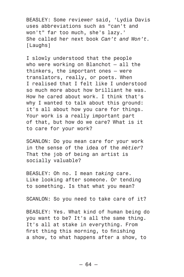BEASLEY: Some reviewer said, 'Lydia Davis uses abbreviations such as "can't and won't" far too much, she's lazy.' She called her next book *Can't and Won't.* [Laughs]

I slowly understood that the people who were working on Blanchot — all the thinkers, the important ones — were translators, really, or poets. When I realised that I felt like I understood so much more about how brilliant he was. How he cared about work. I think that's why I wanted to talk about this ground: it's all about how you care for things. Your work is a really important part of that, but how do we care? What is it to care for your work?

SCANLON: Do you mean care for your work in the sense of the idea of the *m*é*tier*? That the job of being an artist is socially valuable?

BEASLEY: Oh no. I mean *taking* care. Like looking after someone. Or tending to something. Is that what you mean?

SCANLON: So you need to take care of it?

BEASLEY: Yes. What kind of human being do you want to be? It's all the same thing. It's all at stake in everything. From first thing this morning, to finishing a show, to what happens after a show, to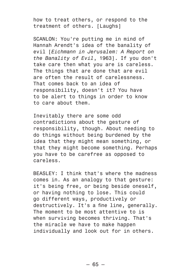how to treat others, or respond to the treatment of others. [Laughs]

SCANLON: You're putting me in mind of Hannah Arendt's idea of the banality of evil [*Eichmann in Jerusalem: A Report on the Banality of Evil*, 1963]. If you don't take care then what you are is careless. The things that are done that are evil are often the result of carelessness. That comes back to an idea of responsibility, doesn't it? You have to be alert to things in order to know to care about them.

Inevitably there are some odd contradictions about the gesture of responsibility, though. About needing to do things without being burdened by the idea that they might mean something, or that they might become something. Perhaps you have to be carefree as opposed to careless.

BEASLEY: I think that's where the madness comes in. As an analogy to that gesture: it's being free, or being beside oneself, or having nothing to lose. This could go different ways, productively or destructively. It's a fine line, generally. The moment to be most attentive to is when surviving becomes thriving. That's the miracle we have to make happen individually and look out for in others.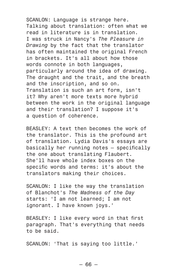SCANLON: Language is strange here. Talking about translation: often what we read in literature is in translation. I was struck in Nancy's *The Pleasure in Drawing* by the fact that the translator has often maintained the original French in brackets. It's all about how those words connote in both languages, particularly around the idea of drawing. The draught and the trait, and the breath and the inscription, and so on. Translation is such an art form, isn't it? Why aren't more texts more hybrid between the work in the original language and their translation? I suppose it's a question of coherence.

BEASLEY: A text then becomes the work of the translator. This is the profound art of translation. Lydia Davis's essays are basically her running notes — specifically the one about translating Flaubert. She'll have whole index boxes on the specific words and terms: it's about the translators making their choices.

SCANLON: I like the way the translation of Blanchot's *The Madness of the Day* starts: 'I am not learned; I am not ignorant. I have known joys.'

BEASLEY: I like every word in that first paragraph. That's everything that needs to be said.

SCANLON: 'That is saying too little.'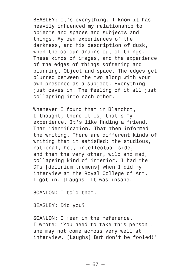BEASLEY: It's everything. I know it has heavily influenced my relationship to objects and spaces and subjects and things. My own experiences of the darkness, and his description of dusk, when the colour drains out of things. These kinds of images, and the experience of the edges of things softening and blurring. Object and space. The edges get blurred between the two along with your own presence as a subject. Everything just caves in. The feeling of it all just collapsing into each other.

Whenever I found that in Blanchot, I thought, there it is, that's my experience. It's like finding a friend. That identification. That then informed the writing. There are different kinds of writing that it satisfied: the studious, rational, hot, intellectual side, and then the very other, wild and mad, collapsing kind of interior. I had the DTs [delirium tremens] when I did my interview at the Royal College of Art. I got in. [Laughs] It was insane.

SCANLON: I told them.

BEASLEY: Did you?

SCANLON: I mean in the reference. I wrote: 'You need to take this person … she may not come across very well at interview. [Laughs] But don't be fooled!'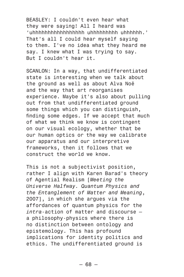BEASLEY: I couldn't even hear what they were saying! All I heard was 'uhhhhhhhhhhhhhhhhh uhhhhhhhhh uhhhhhh.' That's all I could hear myself saying to them. I've no idea what they heard me say. I knew what I was trying to say. But I couldn't hear it.

SCANLON: In a way, that undifferentiated state is interesting when we talk about the ground as well as about Alva Noë and the way that art reorganises experience. Maybe it's also about pulling out from that undifferentiated ground some things which you can distinguish, finding some edges. If we accept that much of what we think we know is contingent on our visual ecology, whether that be our human optics or the way we calibrate our apparatus and our interpretive frameworks, then it follows that we construct the world we know.

This is not a subjectivist position, rather I align with Karen Barad's theory of Agential Realism [*Meeting the Universe Halfway. Quantum Physics and the Entanglement of Matter and Meaning*, 2007], in which she argues via the affordances of quantum physics for the *intra*-action of matter and discourse a philosophy-physics where there is no distinction between ontology and epistemology. This has profound implications for identity politics and ethics. The undifferentiated ground is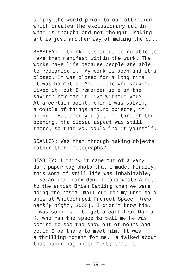simply the world prior to our attention which creates the exclusionary cut in what is thought and not thought. Making art is just another way of making the cut.

BEASLEY: I think it's about being able to make that manifest within the work. The works have life because people are able to recognise it. My work is open and it's closed. It was closed for a long time. It was hermetic. And people who knew me liked it, but I remember some of them saying: how can it live without you? At a certain point, when I was solving a couple of things around objects, it opened. But once you got in, through the opening, the closed aspect was still there, so that you could find it yourself.

SCANLON: Was that through making objects rather than photographs?

BEASLEY: I think it came out of a very dark paper bag photo that I made. Finally, this sort of still life was inhabitable, like an imaginary den. I hand-wrote a note to the artist Brian Catling when we were doing the postal mail out for my first solo show at Whitechapel Project Space [*Thru darkly night*, 2003]. I didn't know him. I was surprised to get a call from Maria K. who ran the space to tell me he was coming to see the show out of hours and could I be there to meet him. It was a thrilling moment for me. He talked about that paper bag photo most, that it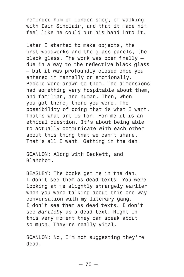reminded him of London smog, of walking with Iain Sinclair, and that it made him feel like he could put his hand into it.

Later I started to make objects, the first woodworks and the glass panels, the black glass. The work was open finally due in a way to the reflective black glass — but it was profoundly closed once you entered it mentally or emotionally. People were drawn to them. The dimensions had something very hospitable about them, and familiar, and human. Then, when you got there, there you were. The possibility of doing that is what I want. That's what art is for. For me it is an ethical question. It's about being able to actually communicate with each other about this thing that we can't share. That's all I want. Getting in the den.

SCANLON: Along with Beckett, and Blanchot.

BEASLEY: The books get me in the den. I don't see them as dead texts. You were looking at me slightly strangely earlier when you were talking about this one-way conversation with my literary gang. I don't see them as dead texts. I don't see *Bartleby* as a dead text. Right in this very moment they can speak about so much. They're really vital.

SCANLON: No. I'm not suggesting they're dead.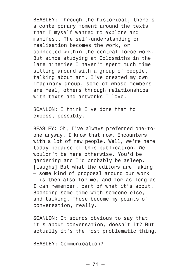BEASLEY: Through the historical, there's a contemporary moment around the texts that I myself wanted to explore and manifest. The self-understanding or realisation becomes the work, or connected within the central force work. But since studying at Goldsmiths in the late nineties I haven't spent much time sitting around with a group of people, talking about art. I've created my own imaginary group, some of whose members are real, others through relationships with texts and artworks I love.

SCANLON: I think I've done that to excess, possibly.

BEASLEY: Oh, I've always preferred one-toone anyway. I know that now. Encounters with a lot of new people. Well, we're here today because of this publication. We wouldn't be here otherwise. You'd be gardening and I'd probably be asleep. [Laughs] But what the editors are making — some kind of proposal around our work — is then also for me, and for as long as I can remember, part of what it's about. Spending some time with someone else, and talking. These become my points of conversation, really.

SCANLON: It sounds obvious to say that it's about conversation, doesn't it? But actually it's the most problematic thing.

BEASLEY: Communication?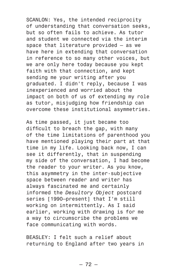SCANLON: Yes, the intended reciprocity of understanding that conversation seeks, but so often fails to achieve. As tutor and student we connected via the interim space that literature provided — as we have here in extending that conversation in reference to so many other voices, but we are only here today because you kept faith with that connection, and kept sending me your writing after you graduated. I didn't reply, because I was inexperienced and worried about the impact on both of us of extending my role as tutor, misjudging how friendship can overcome these institutional asymmetries.

As time passed, it just became too difficult to breach the gap, with many of the time limitations of parenthood you have mentioned playing their part at that time in my life. Looking back now, I can see it differently, that in suspending my side of the conversation, I had become the reader to your writer. As you know, this asymmetry in the inter-subjective space between reader and writer has always fascinated me and certainly informed the *Desultory Object* postcard series [1990-present] that I'm still working on intermittently. As I said earlier, working with drawing is for me a way to circumscribe the problems we face communicating with words.

BEASLEY: I felt such a relief about returning to England after two years in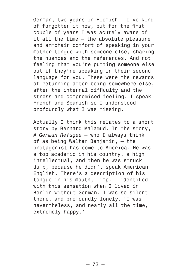German, two years in Flemish — I've kind of forgotten it now, but for the first couple of years I was acutely aware of it all the time — the absolute pleasure and armchair comfort of speaking in your mother tongue with someone else, sharing the nuances and the references. And not feeling that you're putting someone else out if they're speaking in their second language for you. These were the rewards of returning after being somewhere else, after the internal difficulty and the stress and compromised feeling. I speak French and Spanish so I understood profoundly what I was missing.

Actually I think this relates to a short story by Bernard Malamud. In the story, *A German Refugee* — who I always think of as being Walter Benjamin, — the protagonist has come to America. He was a top academic in his country, a high intellectual, and then he was struck dumb, because he didn't speak American English. There's a description of his tongue in his mouth, limp. I identified with this sensation when I lived in Berlin without German. I was so silent there, and profoundly lonely. 'I was nevertheless, and nearly all the time, extremely happy.'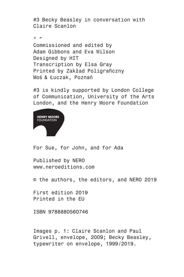#3 Becky Beasley in conversation with Claire Scanlon

 $\alpha$  "

Commissioned and edited by Adam Gibbons and Eva Wilson Designed by HIT Transcription by Elsa Gray Printed by Zakład Poligraficzny Moś & Łuczak, Poznań

#3 is kindly supported by London College of Communication, University of the Arts London, and the Henry Moore Foundation



For Sue, for John, and for Ada

Published by NERO www.neroeditions.com

© the authors, the editors, and NERO 2019

First edition 2019 Printed in the EU

ISBN 9788880560746

Images p. 1: Claire Scanlon and Paul Grivell, envelope, 2009; Becky Beasley, typewriter on envelope, 1999/2019.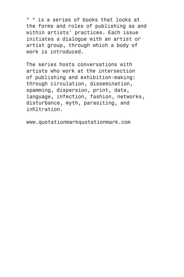" " is a series of books that looks at the forms and roles of publishing as and within artists' practices. Each issue initiates a dialogue with an artist or artist group, through which a body of work is introduced.

The series hosts conversations with artists who work at the intersection of publishing and exhibition-making: through circulation, dissemination, spamming, dispersion, print, data, language, infection, fashion, networks, disturbance, myth, parasiting, and infiltration.

www.quotationmarkquotationmark.com